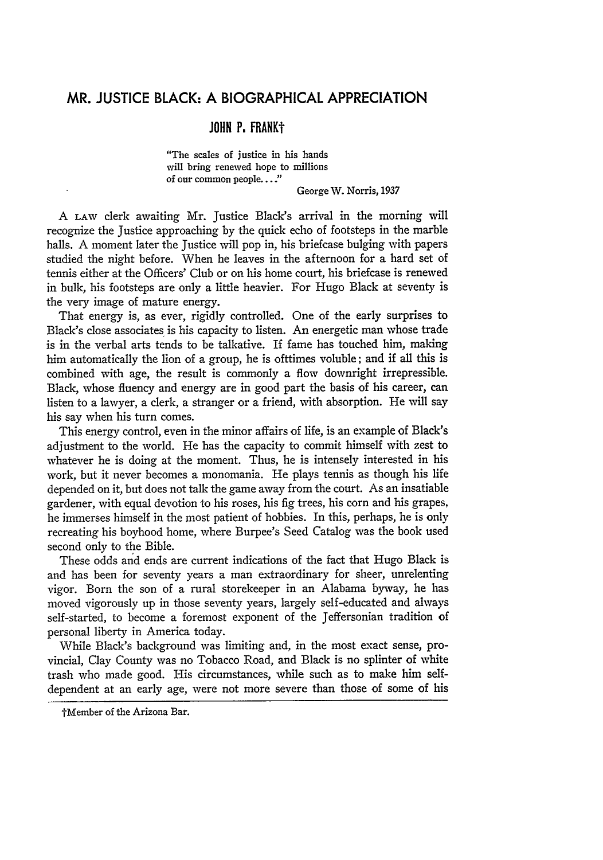## MR. **JUSTICE** BLACK: **A** BIOGRAPHICAL APPRECIATION

## **JOHN P. FRANK+**

"The scales of justice in his hands will bring renewed hope to millions of our common people...."

George W. Norris, 1937

A LAW clerk awaiting Mr. Justice Black's arrival in the morning will recognize the Justice approaching by the quick echo of footsteps in the marble halls. A moment later the Justice will pop in, his briefcase bulging with papers studied the night before. When he leaves in the afternoon for a hard set of tennis either at the Officers' Club or on his home court, his briefcase is renewed in bulk, his footsteps are only a little heavier. For Hugo Black at seventy is the very image of mature energy.

That energy is, as ever, rigidly controlled. One of the early surprises to Black's close associates is his capacity to listen. An energetic man whose trade is in the verbal arts tends to be talkative. If fame has touched him, making him automatically the lion of a group, he is ofttimes voluble; and if all this is combined with age, the result is commonly a flow downright irrepressible. Black, whose fluency and energy are in good part the basis of his career, can listen to a lawyer, a clerk, a stranger or a friend, with absorption. He will say his say when his turn comes.

This energy control, even in the minor affairs of life, is an example of Black's adjustment to the world. He has the capacity to commit himself with zest to whatever he is doing at the moment. Thus, he is intensely interested in his work, but it never becomes a monomania. He plays tennis as though his life depended on it, but does not talk the game away from the court. As an insatiable gardener, with equal devotion to his roses, his fig trees, his corn and his grapes, he immerses himself in the most patient of hobbies. In this, perhaps, he is only recreating his boyhood home, where Burpee's Seed Catalog was the book used second only to the Bible.

These odds and ends are current indications of the fact that Hugo Black is and has been for seventy years a man extraordinary for sheer, unrelenting vigor. Born the son of a rural storekeeper in an Alabama byway, he has moved vigorously up in those seventy years, largely self-educated and always self-started, to become a foremost exponent of the Jeffersonian tradition of personal liberty in America today.

While Black's background was limiting and, in the most exact sense, provincial, Clay County was no Tobacco Road, and Black is no splinter of white trash who made good. His circumstances, while such as to make him selfdependent at an early age, were not more severe than those of some of his

'Member of the Arizona Bar.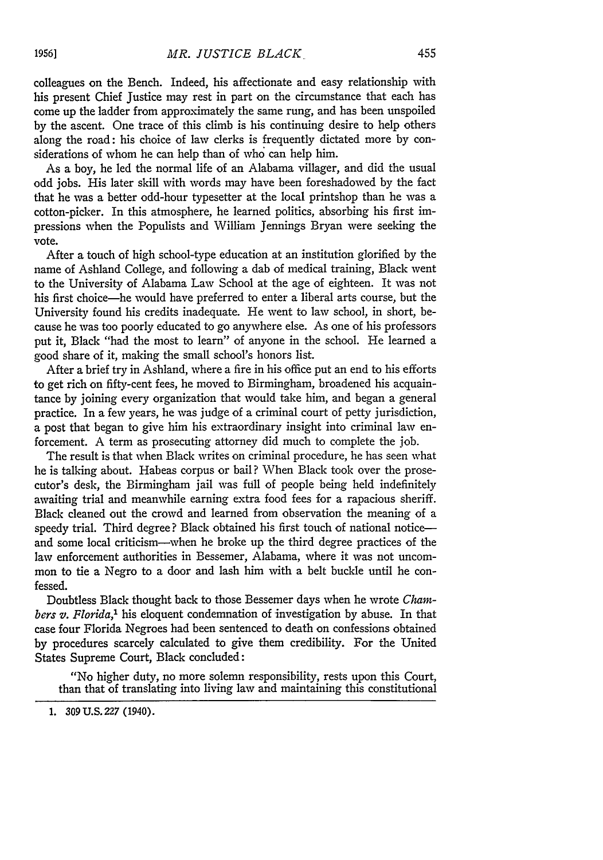colleagues on the Bench. Indeed, his affectionate and easy relationship with his present Chief Justice may rest in part on the circumstance that each has come up the ladder from approximately the same rung, and has been unspoiled by the ascent. One trace of this climb is his continuing desire to help others along the road: his choice of law clerks is frequently dictated more by considerations of whom he can help than of who can help him.

As a boy, he led the normal life of an Alabama villager, and did the usual odd jobs. His later skill with words may have been foreshadowed by the fact that he was a better odd-hour typesetter at the local printshop than he was a cotton-picker. In this atmosphere, he learned politics, absorbing his first impressions when the Populists and William Jennings Bryan were seeking the vote.

After a touch of high school-type education at an institution glorified by the name of Ashland College, and following a dab of medical training, Black went to the University of Alabama Law School at the age of eighteen. It was not his first choice-he would have preferred to enter a liberal arts course, but the University found his credits inadequate. He went to law school, in short, because he was too poorly educated to go anywhere else. As one of his professors put it, Black "had the most to learn" of anyone in the school. He learned a good share of it, making the small school's honors list.

After a brief try in Ashland, where a fire in his office put an end to his efforts to get rich on fifty-cent fees, he moved to Birmingham, broadened his acquaintance by joining every organization that would take him, and began a general practice. In a few years, he was judge of a criminal court of petty jurisdiction, a post that began to give him his extraordinary insight into criminal law enforcement. A term as prosecuting attorney did much to complete the job.

The result is that when Black writes on criminal procedure, he has seen what he is talking about. Habeas corpus or bail? When Black took over the prosecutor's desk, the Birmingham jail was full of people being held indefinitely awaiting trial and meanwhile earning extra food fees for a rapacious sheriff. Black cleaned out the crowd and learned from observation the meaning of a speedy trial. Third degree? Black obtained his first touch of national noticeand some local criticism-when he broke up the third degree practices of the law enforcement authorities in Bessemer, Alabama, where it was not uncommon to tie a Negro to a door and lash him with a belt buckle until he confessed.

Doubtless Black thought back to those Bessemer days when he wrote *Chambers v. Florida,'* his eloquent condemnation of investigation by abuse. In that case four Florida Negroes had been sentenced to death on confessions obtained by procedures scarcely calculated to give them credibility. For the United States Supreme Court, Black concluded:

"No higher duty, no more solemn responsibility, rests upon this Court, than that of translating into living law and maintaining this constitutional

1. 309U.S.227 (1940).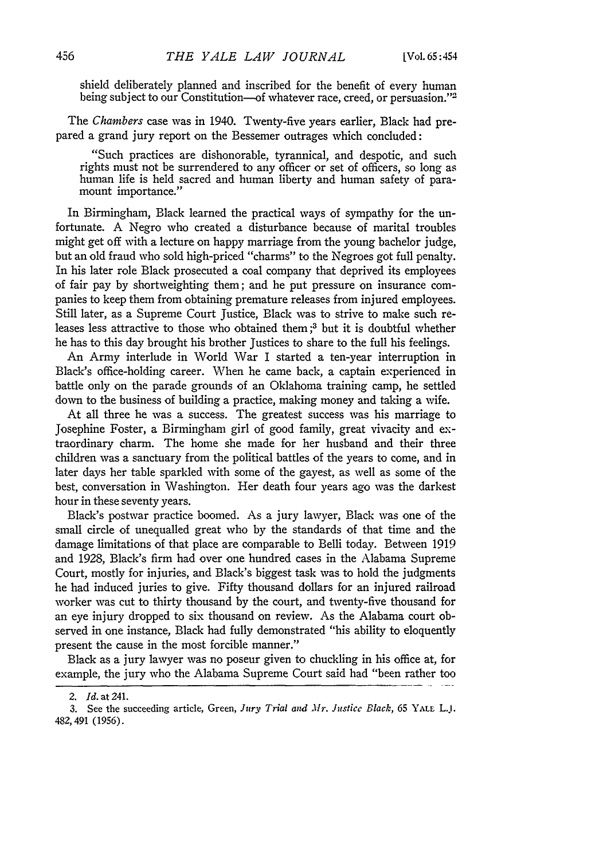shield deliberately planned and inscribed for the benefit of every human being subject to our Constitution-of whatever race, creed, or persuasion."<sup>2</sup>

The *Chambers* case was in 1940. Twenty-five years earlier, Black had prepared a grand jury report on the Bessemer outrages which concluded:

"Such practices are dishonorable, tyrannical, and despotic, and such rights must not be surrendered to any officer or set of officers, so long as human life is held sacred and human liberty and human safety of paramount importance."

In Birmingham, Black learned the practical ways of sympathy for the unfortunate. A Negro who created a disturbance because of marital troubles might get off with a lecture on happy marriage from the young bachelor judge, but an old fraud who sold high-priced "charms" to the Negroes got full penalty. In his later role Black prosecuted a coal company that deprived its employees of fair pay by shortweighting them; and he put pressure on insurance companies to keep them from obtaining premature releases from injured employees. Still later, as a Supreme Court Justice, Black was to strive to make such releases less attractive to those who obtained them;<sup>3</sup> but it is doubtful whether he has to this day brought his brother Justices to share to the full his feelings.

An Army interlude in World War I started a ten-year interruption in Black's office-holding career. When he came back, a captain experienced in battle only on the parade grounds of an Oklahoma training camp, he settled down to the business of building a practice, making money and taking a wife.

At all three he was a success. The greatest success was his marriage to Josephine Foster, a Birmingham girl of good family, great vivacity and extraordinary charm. The home she made for her husband and their three children was a sanctuary from the political battles of the years to come, and in later days her table sparkled with some of the gayest, as well as some of the best, conversation in Washington. Her death four years ago was the darkest hour in these seventy years.

Black's postwar practice boomed. As a jury lawyer, Black was one of the small circle of unequalled great who by the standards of that time and the damage limitations of that place are comparable to Belli today. Between 1919 and 1928, Black's firm had over one hundred cases in the Alabama Supreme Court, mostly for injuries, and Black's biggest task was to hold the judgments he had induced juries to give. Fifty thousand dollars for an injured railroad worker was cut to thirty thousand by the court, and twenty-five thousand for an eye injury dropped to six thousand on review. As the Alabama court observed in one instance, Black had fully demonstrated "his ability to eloquently present the cause in the most forcible manner."

Black as a jury lawyer was no poseur given to chuckling in his office at, for example, the jury who the Alabama Supreme Court said had "been rather too

*<sup>2.</sup> Id.* at 241.

<sup>3.</sup> See the succeeding article, Green, *Jury Trial and Mr. Justice Black,* 65 YALE L.J. 482,491 (1956).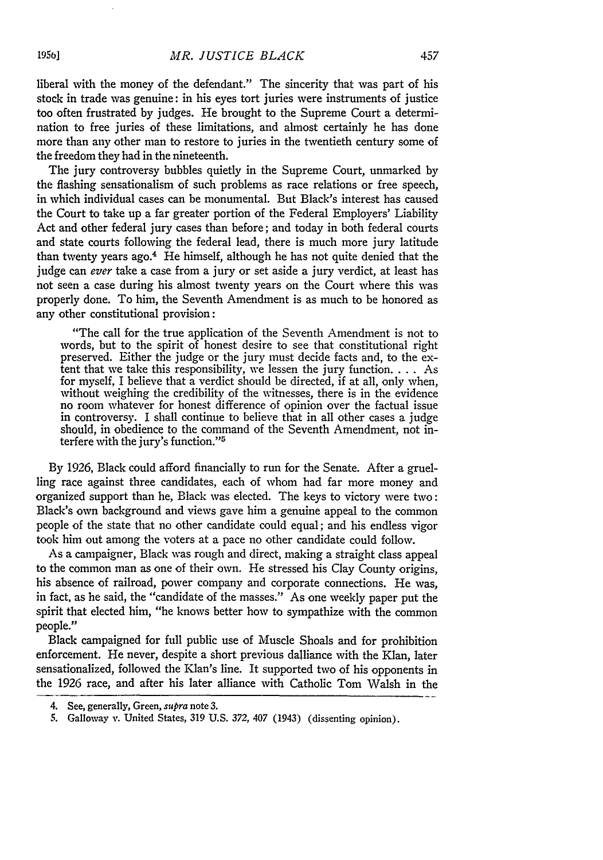liberal with the money of the defendant." The sincerity that was part of his stock in trade was genuine: in his eyes tort juries were instruments of justice too often frustrated by judges. He brought to the Supreme Court a determination to free juries of these limitations, and almost certainly he has done more than any other man to restore to juries in the twentieth century some of the freedom they had in the nineteenth.

The jury controversy bubbles quietly in the Supreme Court, unmarked by the flashing sensationalism of such problems as race relations or free speech, in which individual cases can be monumental. But Black's interest has caused the Court to take up a far greater portion of the Federal Employers' Liability Act and other federal jury cases than before; and today in both federal courts and state courts following the federal lead, there is much more jury latitude than twenty years ago.4 He himself, although he has not quite denied that the judge can *ever* take a case from a jury or set aside a jury verdict, at least has not seen a case during his almost twenty years on the Court where this was properly done. To him, the Seventh Amendment is as much to be honored as any other constitutional provision:

"The call for the true application of the Seventh Amendment is not to words, but to the spirit of honest desire to see that constitutional right preserved. Either the judge or the jury must decide facts and, to the extent that we take this responsibility, we lessen the jury function **....** As for myself, I believe that a verdict should be directed, if at all, only when, without weighing the credibility of the witnesses, there is in the evidence no room whatever for honest difference of opinion over the factual issue in controversy. I shall continue to believe that in all other cases a judge should, in obedience to the command of the Seventh Amendment, not interfere with the jury's function."<sup>5</sup>

By 1926, Black could afford financially to run for the Senate. After a gruelling race against three candidates, each of whom had far more money and organized support than he, Black was elected. The keys to victory were two: Black's own background and views gave him a genuine appeal to the common people of the state that no other candidate could equal; and his endless vigor took him out among the voters at a pace no other candidate could follow.

As a campaigner, Black was rough and direct, making a straight class appeal to the common man as one of their own. He stressed his Clay County origins, his absence of railroad, power company and corporate connections. He was, in fact, as he said, the "candidate of the masses." As one weekly paper put the spirit that elected him, "he knows better how to sympathize with the common people."

Black campaigned for full public use of Muscle Shoals and for prohibition enforcement. He never, despite a short previous dalliance with the Klan, later sensationalized, followed the Klan's line. It supported two of his opponents in the 1926 race, and after his later alliance with Catholic Tom Walsh in the

<sup>4.</sup> See, generally, Green, supra note **3.**

<sup>5.</sup> Galloway v. United States, 319 U.S. 372, 407 (1943) (dissenting opinion).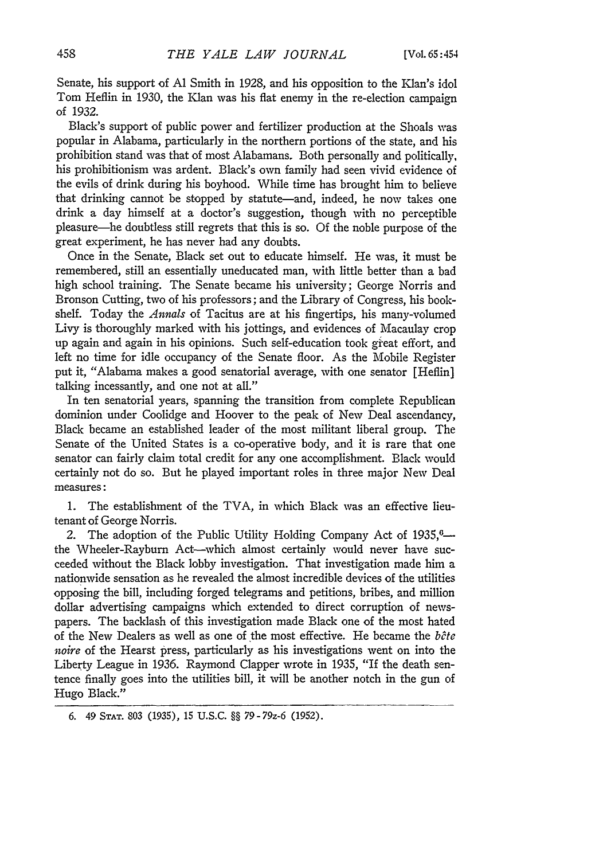Senate, his support of **Al** Smith in 1928, and his opposition to the Klan's idol Tom Heflin in 1930, the Klan was his flat enemy in the re-election campaign of 1932.

Black's support of public power and fertilizer production at the Shoals was popular in Alabama, particularly in the northern portions of the state, and his prohibition stand was that of most Alabamans. Both personally and politically, his prohibitionism was ardent. Black's own family had seen vivid evidence of the evils of drink during his boyhood. While time has brought him to believe that drinking cannot be stopped by statute-and, indeed, he now takes one drink a day himself at a doctor's suggestion, though with no perceptible pleasure-he doubtless still regrets that this is so. Of the noble purpose of the great experiment, he has never had any doubts.

Once in the Senate, Black set out to educate himself. He was, it must be remembered, still an essentially uneducated man, with little better than a bad high school training. The Senate became his university; George Norris and Bronson Cutting, two of his professors; and the Library of Congress, his bookshelf. Today the *Annals* of Tacitus are at his fingertips, his many-volumed Livy is thoroughly marked with his jottings, and evidences of Macaulay crop up again and again in his opinions. Such self-education took great effort, and left no time for idle occupancy of the Senate floor. As the Mobile Register put it, "Alabama makes a good senatorial average, with one senator [Heflin] talking incessantly, and one not at all."

In ten senatorial years, spanning the transition from complete Republican dominion under Coolidge and Hoover to the peak of New Deal ascendancy, Black became an established leader of the most militant liberal group. The Senate of the United States is a co-operative body, and it is rare that one senator can fairly claim total credit for any one accomplishment. Black would certainly not do so. But he played important roles in three major New Deal measures:

1. The establishment of the TVA, in which Black was an effective lieutenant of George Norris.

2. The adoption of the Public Utility Holding Company Act of  $1935$ <sup>6</sup> the Wheeler-Rayburn Act-which almost certainly would never have succeeded without the Black lobby investigation. That investigation made him a nationwide sensation as he revealed the almost incredible devices of the utilities opposing the bill, including forged telegrams and petitions, bribes, and million dollar advertising campaigns which extended to direct corruption of newspapers. The backlash of this investigation made Black one of the most hated of the New Dealers as well as one of the most effective. He became the *bete noire* of the Hearst press, particularly as his investigations went on into the Liberty League in 1936. Raymond Clapper wrote in 1935, "If the death sentence finally goes into the utilities bill, it will be another notch in the gun of Hugo Black."

<sup>6. 49</sup> STAT. 803 (1935), **15** U.S.C. §§ 79-79z-6 (1952).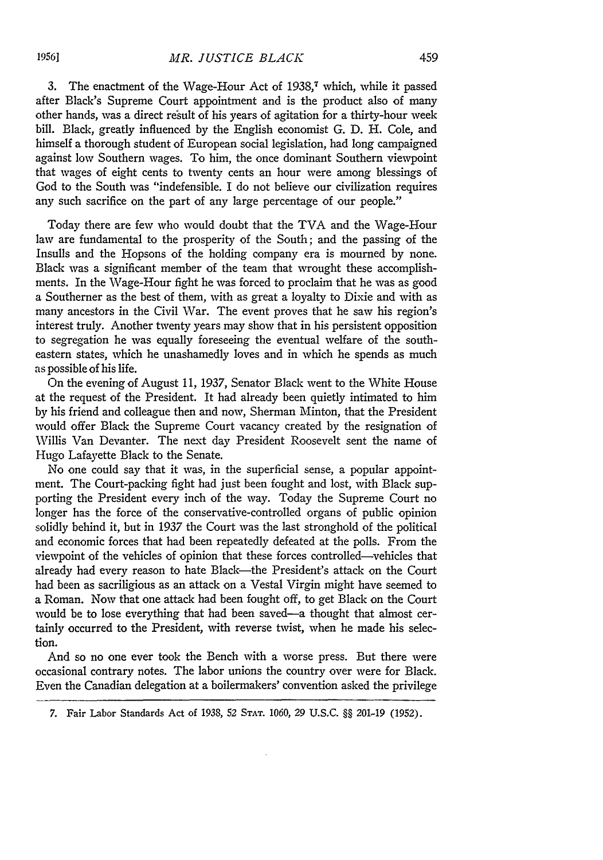3. The enactment of the Wage-Hour Act of 1938,<sup>7</sup> which, while it passed after Black's Supreme Court appointment and is the product also of many other hands, was a direct result of his years of agitation for a thirty-hour week bill. Black, greatly influenced by the English economist G. D. H. Cole, and himself a thorough student of European social legislation, had long campaigned against low Southern wages. To him, the once dominant Southern viewpoint that wages of eight cents to twenty cents an hour were among blessings of God to the South was "indefensible. I do not believe our civilization requires any such sacrifice on the part of any large percentage of our people."

Today there are few who would doubt that the TVA and the Wage-Hour law are fundamental to the prosperity of the South; and the passing of the Insulls and the Hopsons of the holding company era is mourned by none. Black was a significant member of the team that wrought these accomplishments. In the Wage-Hour fight he was forced to proclaim that he was as good a Southerner as the best of them, with as great a loyalty to Dixie and with as many ancestors in the Civil War. The event proves that he saw his region's interest truly. Another twenty years may show that in his persistent opposition to segregation he was equally foreseeing the eventual welfare of the southeastern states, which he unashamedly loves and in which he spends as much as possible of his life.

On the evening of August 11, 1937, Senator Black went to the White House at the request of the President. It had already been quietly intimated to him by his friend and colleague then and now, Sherman Minton, that the President would offer Black the Supreme Court vacancy created by the resignation of Willis Van Devanter. The next day President Roosevelt sent the name of Hugo Lafayette Black to the Senate.

No one could say that it was, in the superficial sense, a popular appointment. The Court-packing fight had just been fought and lost, with Black supporting the President every inch of the way. Today the Supreme Court no longer has the force of the conservative-controlled organs of public opinion solidly behind it, but in 1937 the Court was the last stronghold of the political and economic forces that had been repeatedly defeated at the polls. From the viewpoint of the vehicles of opinion that these forces controlled-vehicles that already had every reason to hate Black-the President's attack on the Court had been as sacriligious as an attack on a Vestal Virgin might have seemed to a Roman. Now that one attack had been fought off, to get Black on the Court would be to lose everything that had been saved-a thought that almost certainly occurred to the President, with reverse twist, when he made his selection.

And so no one ever took the Bench with a worse press. But there were occasional contrary notes. The labor unions the country over were for Black. Even the Canadian delegation at a boilermakers' convention asked the privilege

**19561**

**<sup>7.</sup>** Fair Labor Standards Act of 1938, *52* **STAT.** 1060, 29 U.S.C. §§ 201-19 (1952).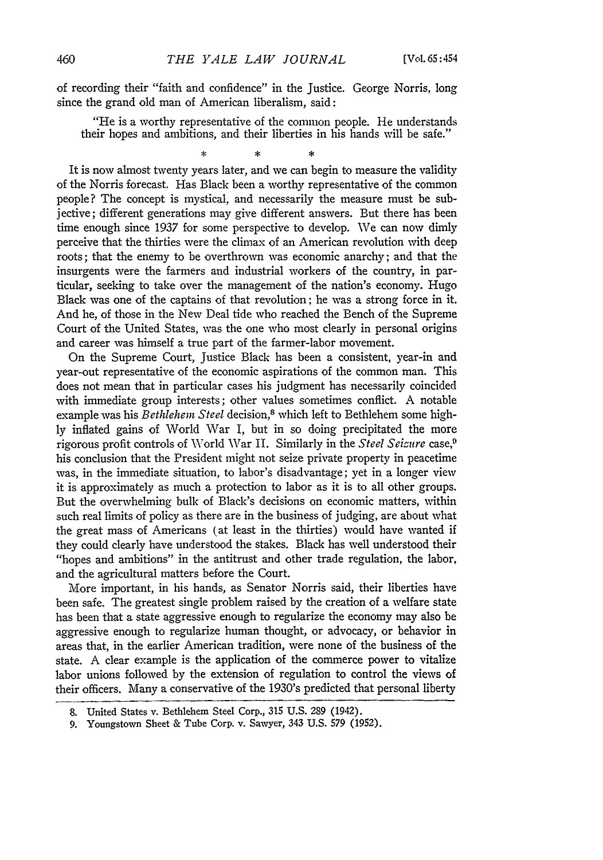of recording their "faith and confidence" in the Justice. George Norris, long since the grand old man of American liberalism, said:

"He is a worthy representative of the common people. He understands their hopes and ambitions, and their liberties in his hands will be safe."

It is now almost twenty years later, and we can begin to measure the validity of the Norris forecast. Has Black been a worthy representative of the common people? The concept is mystical, and necessarily the measure must be subjective; different generations may give different answers. But there has been time enough since 1937 for some perspective to develop. We can now dimly perceive that the thirties were the climax of an American revolution with deep roots; that the enemy to be overthrown was economic anarchy; and that the insurgents were the farmers and industrial workers of the country, in particular, seeking to take over the management of the nation's economy. Hugo Black was one of the captains of that revolution; he was a strong force in it. And he, of those in the New Deal tide who reached the Bench of the Supreme Court of the United States, was the one who most clearly in personal origins and career was himself a true part of the farmer-labor movement.

On the Supreme Court, Justice Black has been a consistent, year-in and year-out representative of the economic aspirations of the common man. This does not mean that in particular cases his judgment has necessarily coincided with immediate group interests; other values sometimes conflict. A notable example was his *Bethlehem Steel* decision,<sup>8</sup> which left to Bethlehem some high**ly** inflated gains of World War I, but in so doing precipitated the more rigorous profit controls of World War II. Similarly in the *Steel Seizure* case,<sup>9</sup> his conclusion that the President might not seize private property in peacetime was, in the immediate situation, to labor's disadvantage; yet in a longer view it is approximately as much a protection to labor as it is to all other groups. But the overwhelming bulk of Black's decisions on economic matters, within such real limits of policy as there are in the business of judging, are about what the great mass of Americans (at least in the thirties) would have wanted if they could clearly have understood the stakes. Black has well understood their "hopes and ambitions" in the antitrust and other trade regulation, the labor, and the agricultural matters before the Court.

More important, in his hands, as Senator Norris said, their liberties have been safe. The greatest single problem raised **by** the creation of a welfare state has been that a state aggressive enough to regularize the economy may also be aggressive enough to regularize human thought, or advocacy, or behavior in areas that, in the earlier American tradition, were none of the business of the state. A clear example is the application of the commerce power to vitalize labor unions followed **by** the extension of regulation to control the views of their officers. Many a conservative of the 1930's predicted that personal liberty

**<sup>8.</sup>** United States v. Bethlehem Steel Corp., **315 U.S.** 289 (1942).

**<sup>9.</sup>** Youngstown Sheet & Tube Corp. v. Sawyer, 343 **U.S.** 579 (1952).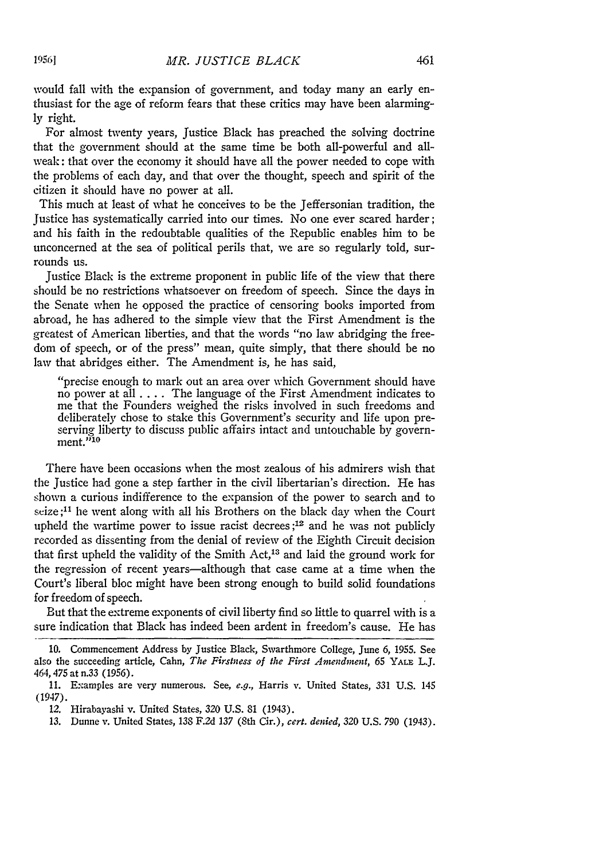would fall with the expansion of government, and today many an early enthusiast for the age of reform fears that these critics may have been alarming**ly** right.

For almost twenty years, Justice Black has preached the solving doctrine that the government should at the same time be both all-powerful and allweak: that over the economy it should have all the power needed to cope with the problems of each day, and that over the thought, speech and spirit of the citizen it should have no power at all.

This much at least of what he conceives to be the Jeffersonian tradition, the Justice has systematically carried into our times. No one ever scared harder; and his faith in the redoubtable qualities of the Republic enables him to be unconcerned at the sea of political perils that, we are so regularly told, surrounds us.

Justice Black is the extreme proponent in public life of the view that there should be no restrictions whatsoever on freedom of speech. Since the days in the Senate when he opposed the practice of censoring books imported from abroad, he has adhered to the simple view that the First Amendment is the greatest of American liberties, and that the words "no law abridging the freedom of speech, or of the press" mean, quite simply, that there should be no law that abridges either. The Amendment is, he has said,

"precise enough to mark out an area over which Government should have no power at all .... The language of the First Amendment indicates to me that the Founders weighed the risks involved in such freedoms and deliberately chose to stake this Government's security and life upon preserving liberty to discuss public affairs intact and untouchable **by** government.<sup>3710</sup>

There have been occasions when the most zealous of his admirers wish that the Justice had gone a step farther in the civil libertarian's direction. He has shown a curious indifference to the expansion of the power to search and to seize; $^{11}$  he went along with all his Brothers on the black day when the Court upheld the wartime power to issue racist decrees; $12$  and he was not publicly recorded as dissenting from the denial of review of the Eighth Circuit decision that first upheld the validity of the Smith Act,<sup>13</sup> and laid the ground work for the regression of recent years-although that case came at a time when the Court's liberal bloc might have been strong enough to build solid foundations for freedom of speech.

But that the extreme exponents of civil liberty find so little to quarrel with is a sure indication that Black has indeed been ardent in freedom's cause. He has

<sup>10.</sup> Commencement Address by Justice Black, Swarthmore College, June 6, 1955. See also the succeeding article, Cahn, *The Firstness of the First Amendment, 65* **YALE** L.J. 464, 475 at n.33 (1956).

<sup>11.</sup> Examples are very numerous. See, e.g., Harris v. United States, 331 U.S. 145 (1947).

<sup>12.</sup> Hirabayashi v. United States, 320 U.S. 81 (1943).

<sup>13.</sup> Dunne v. United States, 138 F.2d **137** (Sth Cir.), *cert. denied,* 320 U.S. **790** (1943).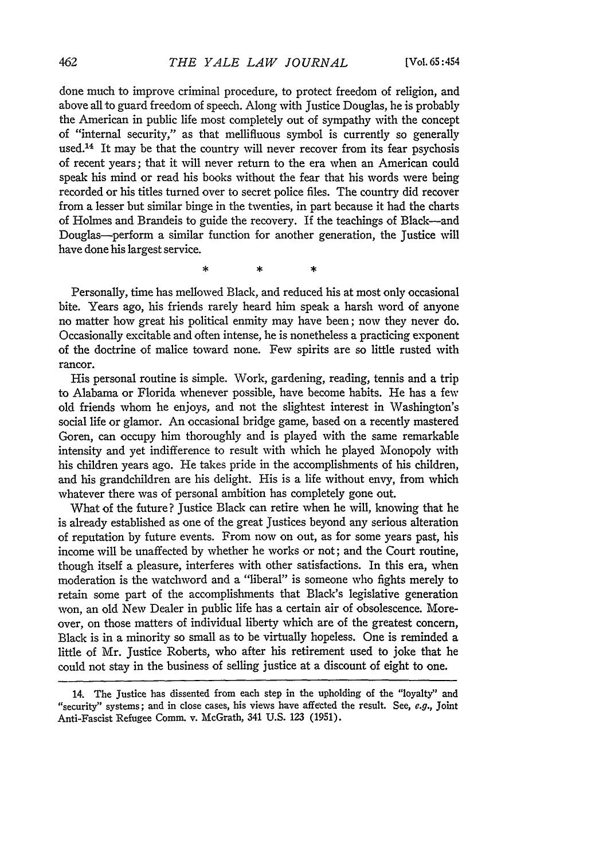done much to improve criminal procedure, to protect freedom of religion, and above all to guard freedom of speech. Along with Justice Douglas, he is probably the American in public life most completely out of sympathy with the concept of "internal security," as that mellifluous symbol is currently so generally used.14 It may be that the country will never recover from its fear psychosis of recent years; that it will never return to the era when an American could speak his mind or read his books without the fear that his words were being recorded or his titles turned over to secret police files. The country did recover from a lesser but similar binge in the twenties, in part because it had the charts of Holmes and Brandeis to guide the recovery. If the teachings of Black--and Douglas-perform a similar function for another generation, the Justice will have done his largest service.

Personally, time has mellowed Black, and reduced his at most only occasional bite. Years ago, his friends rarely heard him speak a harsh word of anyone no matter how great his political enmity may have been; now they never do. Occasionally excitable and often intense, he is nonetheless a practicing exponent of the doctrine of malice toward none. Few spirits are so little rusted with rancor.

His personal routine is simple. Work, gardening, reading, tennis and a trip to Alabama or Florida whenever possible, have become habits. He has a few old friends whom he enjoys, and not the slightest interest in Washington's social life or glamor. An occasional bridge game, based on a recently mastered Goren, can occupy him thoroughly and is played with the same remarkable intensity and yet indifference to result with which he played Monopoly with his children years ago. He takes pride in the accomplishments of his children, and his grandchildren are his delight. His is a life without envy, from which whatever there was of personal ambition has completely gone out.

What of the future? Justice Black can retire when he will, knowing that he is already established as one of the great Justices beyond any serious alteration of reputation by future events. From now on out, as for some years past, his income will be unaffected by whether he works or not; and the Court routine, though itself a pleasure, interferes with other satisfactions. In this era, when moderation is the watchword and a "liberal" is someone who fights merely to retain some part of the accomplishments that Black's legislative generation won, an old New Dealer in public life has a certain air of obsolescence. Moreover, on those matters of individual liberty which are of the greatest concern, Black is in a minority so small as to be virtually hopeless. One is reminded a little of Mr. Justice Roberts, who after his retirement used to joke that he could not stay in the business of selling justice at a discount of eight to one.

<sup>14.</sup> The Justice has dissented from each step in the upholding of the "loyalty" and "security" systems; and in close cases, his views have affected the result. See, *e.g.,* Joint Anti-Fascist Refugee Comm. v. McGrath, 341 U.S. 123 (1951).